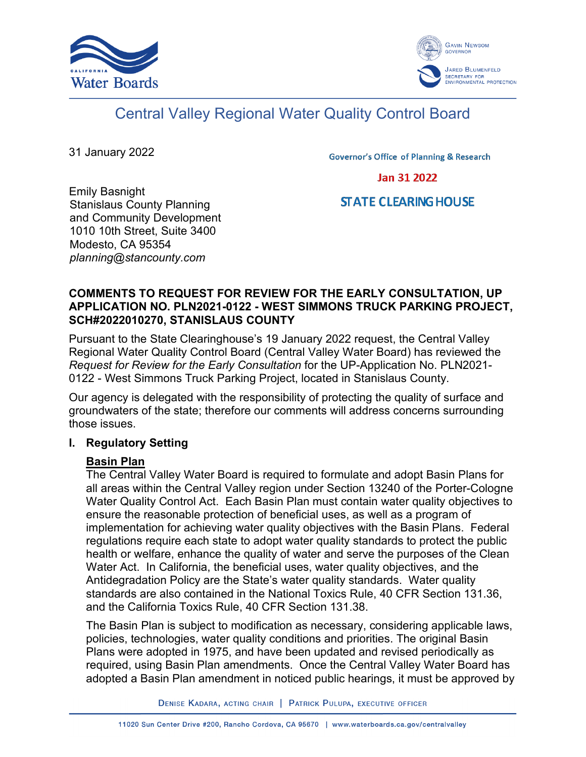



# Central Valley Regional Water Quality Control Board

31 January 2022

**Governor's Office of Planning & Research** 

**Jan 31 2022** 

## **STATE CLEARING HOUSE**

Emily Basnight Stanislaus County Planning and Community Development 1010 10th Street, Suite 3400 Modesto, CA 95354 *planning@stancounty.com*

## **COMMENTS TO REQUEST FOR REVIEW FOR THE EARLY CONSULTATION, UP APPLICATION NO. PLN2021-0122 - WEST SIMMONS TRUCK PARKING PROJECT, SCH#2022010270, STANISLAUS COUNTY**

Pursuant to the State Clearinghouse's 19 January 2022 request, the Central Valley Regional Water Quality Control Board (Central Valley Water Board) has reviewed the *Request for Review for the Early Consultation* for the UP-Application No. PLN2021- 0122 - West Simmons Truck Parking Project, located in Stanislaus County.

Our agency is delegated with the responsibility of protecting the quality of surface and groundwaters of the state; therefore our comments will address concerns surrounding those issues.

#### **I. Regulatory Setting**

#### **Basin Plan**

The Central Valley Water Board is required to formulate and adopt Basin Plans for all areas within the Central Valley region under Section 13240 of the Porter-Cologne Water Quality Control Act. Each Basin Plan must contain water quality objectives to ensure the reasonable protection of beneficial uses, as well as a program of implementation for achieving water quality objectives with the Basin Plans. Federal regulations require each state to adopt water quality standards to protect the public health or welfare, enhance the quality of water and serve the purposes of the Clean Water Act. In California, the beneficial uses, water quality objectives, and the Antidegradation Policy are the State's water quality standards. Water quality standards are also contained in the National Toxics Rule, 40 CFR Section 131.36, and the California Toxics Rule, 40 CFR Section 131.38.

The Basin Plan is subject to modification as necessary, considering applicable laws, policies, technologies, water quality conditions and priorities. The original Basin Plans were adopted in 1975, and have been updated and revised periodically as required, using Basin Plan amendments. Once the Central Valley Water Board has adopted a Basin Plan amendment in noticed public hearings, it must be approved by

DENISE KADARA, ACTING CHAIR | PATRICK PULUPA, EXECUTIVE OFFICER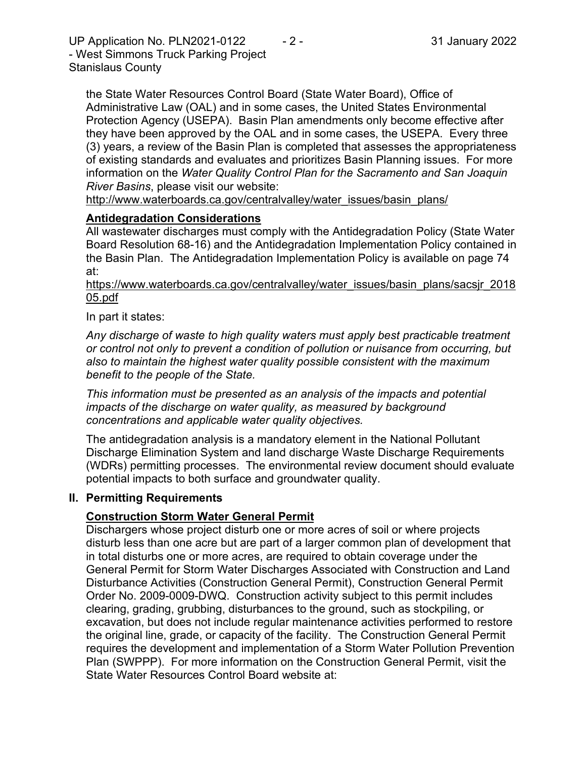UP Application No. PLN2021-0122 - 2 - 2 - 31 January 2022 - West Simmons Truck Parking Project Stanislaus County

the State Water Resources Control Board (State Water Board), Office of Administrative Law (OAL) and in some cases, the United States Environmental Protection Agency (USEPA). Basin Plan amendments only become effective after they have been approved by the OAL and in some cases, the USEPA. Every three (3) years, a review of the Basin Plan is completed that assesses the appropriateness of existing standards and evaluates and prioritizes Basin Planning issues. For more information on the *Water Quality Control Plan for the Sacramento and San Joaquin River Basins*, please visit our website:

[http://www.waterboards.ca.gov/centralvalley/water\\_issues/basin\\_plans/](http://www.waterboards.ca.gov/centralvalley/water_issues/basin_plans/)

#### **Antidegradation Considerations**

All wastewater discharges must comply with the Antidegradation Policy (State Water Board Resolution 68-16) and the Antidegradation Implementation Policy contained in the Basin Plan. The Antidegradation Implementation Policy is available on page 74 at:

https://www.waterboards.ca.gov/centralvalley/water\_issues/basin\_plans/sacsjr\_2018 05.pdf

In part it states:

*Any discharge of waste to high quality waters must apply best practicable treatment or control not only to prevent a condition of pollution or nuisance from occurring, but also to maintain the highest water quality possible consistent with the maximum benefit to the people of the State.*

*This information must be presented as an analysis of the impacts and potential impacts of the discharge on water quality, as measured by background concentrations and applicable water quality objectives.*

The antidegradation analysis is a mandatory element in the National Pollutant Discharge Elimination System and land discharge Waste Discharge Requirements (WDRs) permitting processes. The environmental review document should evaluate potential impacts to both surface and groundwater quality.

#### **II. Permitting Requirements**

#### **Construction Storm Water General Permit**

Dischargers whose project disturb one or more acres of soil or where projects disturb less than one acre but are part of a larger common plan of development that in total disturbs one or more acres, are required to obtain coverage under the General Permit for Storm Water Discharges Associated with Construction and Land Disturbance Activities (Construction General Permit), Construction General Permit Order No. 2009-0009-DWQ. Construction activity subject to this permit includes clearing, grading, grubbing, disturbances to the ground, such as stockpiling, or excavation, but does not include regular maintenance activities performed to restore the original line, grade, or capacity of the facility. The Construction General Permit requires the development and implementation of a Storm Water Pollution Prevention Plan (SWPPP). For more information on the Construction General Permit, visit the State Water Resources Control Board website at: